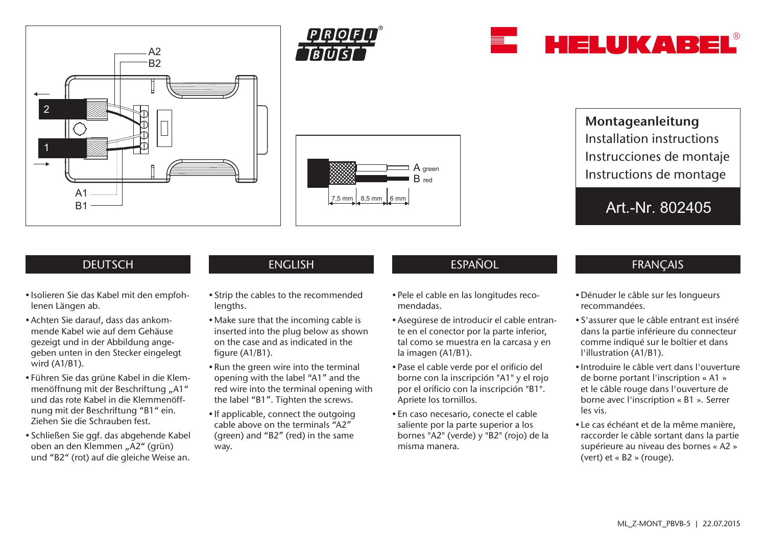







Montageanleitung Installation instructions Instrucciones de montaje Instructions de montage

Art.-Nr. 802405

# **DEUTSCH**

- Isolieren Sie das Kabel mit den empfohlenen Längen ab.
- Achten Sie darauf, dass das ankommende Kabel wie auf dem Gehäuse gezeigt und in der Abbildung angegeben unten in den Stecker eingelegt wird (A1/B1).
- Führen Sie das grüne Kabel in die Klemmenöffnung mit der Beschriftung "A1" und das rote Kabel in die Klemmenöffnung mit der Beschriftung "B1" ein. Ziehen Sie die Schrauben fest.
- Schließen Sie ggf. das abgehende Kabel oben an den Klemmen "A2" (grün) und "B2" (rot) auf die gleiche Weise an.

- Strip the cables to the recommended lengths.
- Make sure that the incoming cable is inserted into the plug below as shown on the case and as indicated in the figure (A1/B1).
- Run the green wire into the terminal opening with the label "A1" and the red wire into the terminal opening with the label "B1". Tighten the screws.
- If applicable, connect the outgoing cable above on the terminals "A2" (green) and "B2" (red) in the same way.

# ENGLISH ESPAÑOL ESPAÑOL FRANÇAIS

- Pele el cable en las longitudes recomendadas.
- Asegúrese de introducir el cable entrante en el conector por la parte inferior, tal como se muestra en la carcasa y en la imagen (A1/B1).
- Pase el cable verde por el orificio del borne con la inscripción "A1" y el rojo por el orificio con la inscripción "B1". Apriete los tornillos.
- En caso necesario, conecte el cable saliente por la parte superior a los bornes "A2" (verde) y "B2" (rojo) de la misma manera.

## • Dénuder le câble sur les longueurs recommandées.

- S'assurer que le câble entrant est inséré dans la partie inférieure du connecteur comme indiqué sur le boîtier et dans l'illustration (A1/B1).
- Introduire le câble vert dans l'ouverture de borne portant l'inscription « A1 » et le câble rouge dans l'ouverture de borne avec l'inscription « B1 ». Serrer les vis.
- Le cas échéant et de la même manière, raccorder le câble sortant dans la partie supérieure au niveau des bornes « A2 » (vert) et « B2 » (rouge).